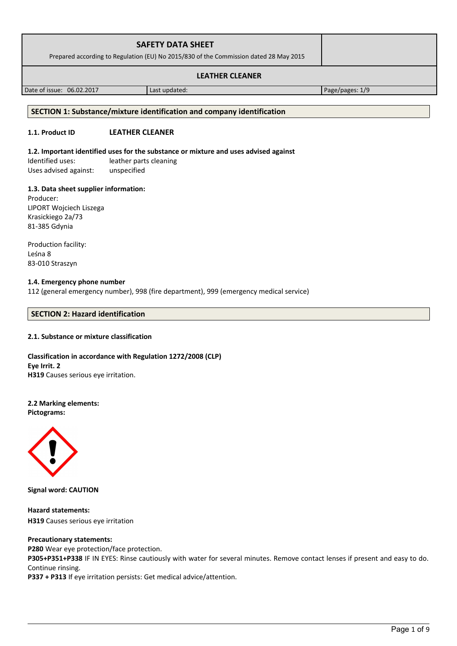| <b>SAFETY DATA SHEET</b><br>Prepared according to Regulation (EU) No 2015/830 of the Commission dated 28 May 2015 |  |
|-------------------------------------------------------------------------------------------------------------------|--|
| <b>LEATHER CLEANER</b>                                                                                            |  |

Date of issue: 06.02.2017 Last updated: Page/pages: 1/9

#### **SECTION 1: Substance/mixture identification and company identification**

## **1.1. Product ID LEATHER CLEANER**

## **1.2. Important identified uses for the substance or mixture and uses advised against**

Identified uses: leather parts cleaning Uses advised against: unspecified

### **1.3. Data sheet supplier information:**

Producer: LIPORT Wojciech Liszega Krasickiego 2a/73 81-385 Gdynia

Production facility: Leśna 8 83-010 Straszyn

## **1.4. Emergency phone number**

112 (general emergency number), 998 (fire department), 999 (emergency medical service)

## **SECTION 2: Hazard identification**

### **2.1. Substance or mixture classification**

### **Classification in accordance with Regulation 1272/2008 (CLP) Eye Irrit. 2 H319** Causes serious eye irritation.

**2.2 Marking elements: Pictograms:**



**Signal word: CAUTION**

**Hazard statements: H319** Causes serious eye irritation

#### **Precautionary statements:**

**P280** Wear eye protection/face protection.

**P305+P351+P338** IF IN EYES: Rinse cautiously with water for several minutes. Remove contact lenses if present and easy to do. Continue rinsing.

**P337 + P313** If eye irritation persists: Get medical advice/attention.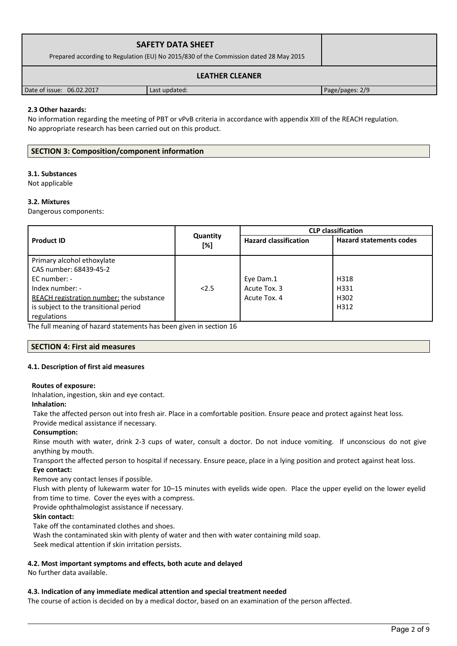| <b>SAFETY DATA SHEET</b><br>Prepared according to Regulation (EU) No 2015/830 of the Commission dated 28 May 2015 |               |                 |
|-------------------------------------------------------------------------------------------------------------------|---------------|-----------------|
| <b>LEATHER CLEANER</b>                                                                                            |               |                 |
| Date of issue: 06.02.2017                                                                                         | Last updated: | Page/pages: 2/9 |

## **2.3 Other hazards:**

No information regarding the meeting of PBT or vPvB criteria in accordance with appendix XIII of the REACH regulation. No appropriate research has been carried out on this product.

## **SECTION 3: Composition/component information**

## **3.1. Substances**

Not applicable

### **3.2. Mixtures**

Dangerous components:

|                                                 |                 | <b>CLP</b> classification    |                                |  |
|-------------------------------------------------|-----------------|------------------------------|--------------------------------|--|
| <b>Product ID</b>                               | Quantity<br>[%] | <b>Hazard classification</b> | <b>Hazard statements codes</b> |  |
| Primary alcohol ethoxylate                      |                 |                              |                                |  |
| CAS number: 68439-45-2                          |                 |                              |                                |  |
| EC number: -                                    |                 | Eye Dam.1                    | H318                           |  |
| Index number: -                                 | 2.5             | Acute Tox. 3                 | H331                           |  |
| <b>REACH registration number:</b> the substance |                 | Acute Tox. 4                 | H302                           |  |
| is subject to the transitional period           |                 |                              | H312                           |  |
| regulations                                     |                 |                              |                                |  |

The full meaning of hazard statements has been given in section 16

### **SECTION 4: First aid measures**

### **4.1. Description of first aid measures**

### **Routes of exposure:**

Inhalation, ingestion, skin and eye contact.

#### **Inhalation:**

Take the affected person out into fresh air. Place in a comfortable position. Ensure peace and protect against heat loss.

#### Provide medical assistance if necessary. **Consumption:**

Rinse mouth with water, drink 2-3 cups of water, consult a doctor. Do not induce vomiting. If unconscious do not give anything by mouth.

Transport the affected person to hospital if necessary. Ensure peace, place in a lying position and protect against heat loss. **Eye contact:**

Remove any contact lenses if possible.

Flush with plenty of lukewarm water for 10–15 minutes with eyelids wide open. Place the upper eyelid on the lower eyelid from time to time. Cover the eyes with a compress.

Provide ophthalmologist assistance if necessary.

### **Skin contact:**

Take off the contaminated clothes and shoes.

Wash the contaminated skin with plenty of water and then with water containing mild soap.

Seek medical attention if skin irritation persists.

### **4.2. Most important symptoms and effects, both acute and delayed**

No further data available.

### **4.3. Indication of any immediate medical attention and special treatment needed**

The course of action is decided on by a medical doctor, based on an examination of the person affected.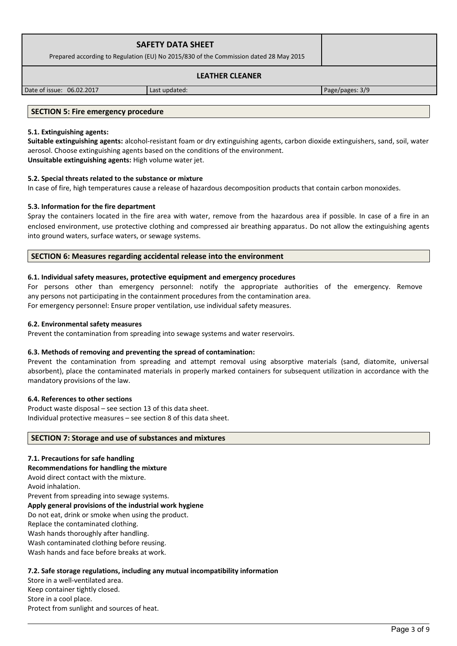| <b>SAFETY DATA SHEET</b><br>Prepared according to Regulation (EU) No 2015/830 of the Commission dated 28 May 2015 |  |
|-------------------------------------------------------------------------------------------------------------------|--|
| <b>LEATHER CLEANER</b>                                                                                            |  |

## **LEATHER CLEANER**

Date of issue: 06.02.2017 Last updated: Page/pages: 3/9

## **SECTION 5: Fire emergency procedure**

## **5.1. Extinguishing agents:**

**Suitable extinguishing agents:** alcohol-resistant foam or dry extinguishing agents, carbon dioxide extinguishers, sand, soil, water aerosol. Choose extinguishing agents based on the conditions of the environment. **Unsuitable extinguishing agents:** High volume water jet.

# **5.2. Special threats related to the substance or mixture**

In case of fire, high temperatures cause a release of hazardous decomposition products that contain carbon monoxides.

# **5.3. Information for the fire department**

Spray the containers located in the fire area with water, remove from the hazardous area if possible. In case of a fire in an enclosed environment, use protective clothing and compressed air breathing apparatus. Do not allow the extinguishing agents into ground waters, surface waters, or sewage systems.

# **SECTION 6: Measures regarding accidental release into the environment**

# **6.1. Individual safety measures, protective equipment and emergency procedures**

For persons other than emergency personnel: notify the appropriate authorities of the emergency. Remove any persons not participating in the containment procedures from the contamination area. For emergency personnel: Ensure proper ventilation, use individual safety measures.

# **6.2. Environmental safety measures**

Prevent the contamination from spreading into sewage systems and water reservoirs.

# **6.3. Methods of removing and preventing the spread of contamination:**

Prevent the contamination from spreading and attempt removal using absorptive materials (sand, diatomite, universal absorbent), place the contaminated materials in properly marked containers for subsequent utilization in accordance with the mandatory provisions of the law.

# **6.4. References to other sections**

Product waste disposal – see section 13 of this data sheet. Individual protective measures – see section 8 of this data sheet.

# **SECTION 7: Storage and use of substances and mixtures**

# **7.1. Precautions for safe handling**

**Recommendations for handling the mixture**  Avoid direct contact with the mixture. Avoid inhalation. Prevent from spreading into sewage systems. **Apply general provisions of the industrial work hygiene**  Do not eat, drink or smoke when using the product. Replace the contaminated clothing. Wash hands thoroughly after handling.

Wash contaminated clothing before reusing.

Wash hands and face before breaks at work.

# **7.2. Safe storage regulations, including any mutual incompatibility information**

Store in a well-ventilated area. Keep container tightly closed. Store in a cool place. Protect from sunlight and sources of heat.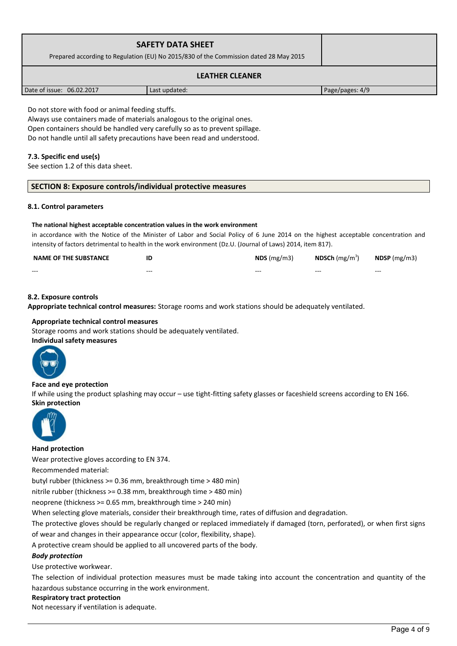| <b>SAFETY DATA SHEET</b><br>Prepared according to Regulation (EU) No 2015/830 of the Commission dated 28 May 2015 |  |
|-------------------------------------------------------------------------------------------------------------------|--|
| <b>LEATHER CLEANER</b>                                                                                            |  |

Date of issue: 06.02.2017 Last updated: Page/pages: 4/9

Do not store with food or animal feeding stuffs.

Always use containers made of materials analogous to the original ones. Open containers should be handled very carefully so as to prevent spillage. Do not handle until all safety precautions have been read and understood.

## **7.3. Specific end use(s)**

See section 1.2 of this data sheet.

## **SECTION 8: Exposure controls/individual protective measures**

#### **8.1. Control parameters**

#### **The national highest acceptable concentration values in the work environment**

in accordance with the Notice of the Minister of Labor and Social Policy of 6 June 2014 on the highest acceptable concentration and intensity of factors detrimental to health in the work environment (Dz.U. (Journal of Laws) 2014, item 817).

| <b>NAME OF THE SUBSTANCE</b> | ID      | $NDS$ (mg/m3) | <b>NDSCh</b> (mg/m <sup>3</sup> ) | $N$ DSP (mg/m3)   |
|------------------------------|---------|---------------|-----------------------------------|-------------------|
| $- - -$                      | $- - -$ | $- - -$       | $- - -$                           | $\qquad \qquad -$ |

## **8.2. Exposure controls**

**Appropriate technical control measures:** Storage rooms and work stations should be adequately ventilated.

#### **Appropriate technical control measures**

Storage rooms and work stations should be adequately ventilated. **Individual safety measures** 



### **Face and eye protection**

If while using the product splashing may occur – use tight-fitting safety glasses or faceshield screens according to EN 166. **Skin protection** 



#### **Hand protection**

Wear protective gloves according to EN 374.

Recommended material:

butyl rubber (thickness >= 0.36 mm, breakthrough time > 480 min)

nitrile rubber (thickness >= 0.38 mm, breakthrough time > 480 min)

neoprene (thickness >= 0.65 mm, breakthrough time > 240 min)

When selecting glove materials, consider their breakthrough time, rates of diffusion and degradation.

The protective gloves should be regularly changed or replaced immediately if damaged (torn, perforated), or when first signs of wear and changes in their appearance occur (color, flexibility, shape).

A protective cream should be applied to all uncovered parts of the body.

### *Body protection*

Use protective workwear.

The selection of individual protection measures must be made taking into account the concentration and quantity of the hazardous substance occurring in the work environment.

#### **Respiratory tract protection**

Not necessary if ventilation is adequate.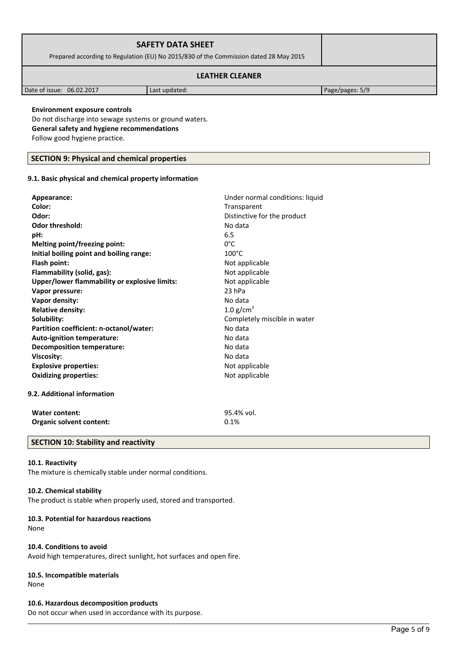| <b>SAFETY DATA SHEET</b><br>Prepared according to Regulation (EU) No 2015/830 of the Commission dated 28 May 2015 |  |
|-------------------------------------------------------------------------------------------------------------------|--|
| <b>LEATHER CLEANER</b>                                                                                            |  |

Date of issue: 06.02.2017 **Last updated:** Page/pages: 5/9

## **Environment exposure controls**

Do not discharge into sewage systems or ground waters. **General safety and hygiene recommendations** Follow good hygiene practice.

# **SECTION 9: Physical and chemical properties**

# **9.1. Basic physical and chemical property information**

| Appearance:                                   | Under normal conditions: liquid |
|-----------------------------------------------|---------------------------------|
| Color:                                        | Transparent                     |
| Odor:                                         | Distinctive for the product     |
| <b>Odor threshold:</b>                        | No data                         |
| pH:                                           | 6.5                             |
| Melting point/freezing point:                 | $0^{\circ}$ C                   |
| Initial boiling point and boiling range:      | $100^{\circ}$ C                 |
| Flash point:                                  | Not applicable                  |
| Flammability (solid, gas):                    | Not applicable                  |
| Upper/lower flammability or explosive limits: | Not applicable                  |
| Vapor pressure:                               | 23 hPa                          |
| Vapor density:                                | No data                         |
| <b>Relative density:</b>                      | 1.0 $g/cm3$                     |
| Solubility:                                   | Completely miscible in water    |
| Partition coefficient: n-octanol/water:       | No data                         |
| Auto-ignition temperature:                    | No data                         |
| <b>Decomposition temperature:</b>             | No data                         |
| <b>Viscosity:</b>                             | No data                         |
| <b>Explosive properties:</b>                  | Not applicable                  |
| <b>Oxidizing properties:</b>                  | Not applicable                  |
| 9.2. Additional information                   |                                 |
| <b>Water content:</b>                         | 95.4% vol.                      |
| Organic solvent content:                      | 0.1%                            |

# **SECTION 10: Stability and reactivity**

## **10.1. Reactivity**

The mixture is chemically stable under normal conditions.

# **10.2. Chemical stability**

The product is stable when properly used, stored and transported.

# **10.3. Potential for hazardous reactions**

None

# **10.4. Conditions to avoid**

Avoid high temperatures, direct sunlight, hot surfaces and open fire.

# **10.5. Incompatible materials**

None

# **10.6. Hazardous decomposition products**

Do not occur when used in accordance with its purpose.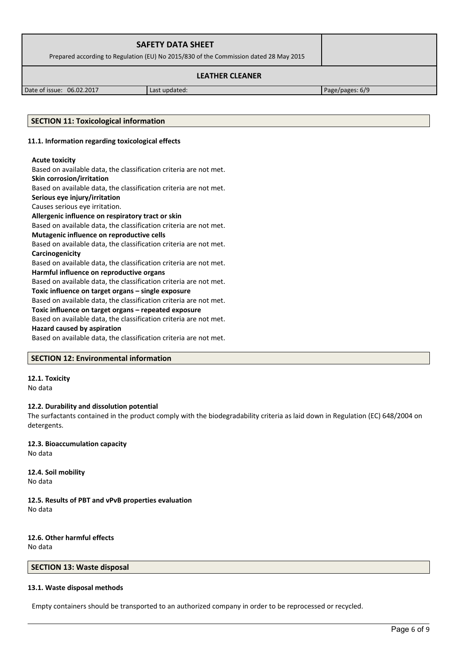| <b>SAFETY DATA SHEET</b><br>Prepared according to Regulation (EU) No 2015/830 of the Commission dated 28 May 2015 |  |
|-------------------------------------------------------------------------------------------------------------------|--|
| <b>LEATHER CLEANER</b>                                                                                            |  |

Date of issue: 06.02.2017 Last updated: Page/pages: 6/9

### **SECTION 11: Toxicological information**

#### **11.1. Information regarding toxicological effects**

#### **Acute toxicity**

Based on available data, the classification criteria are not met. **Skin corrosion/irritation** Based on available data, the classification criteria are not met. **Serious eye injury/irritation** Causes serious eye irritation. **Allergenic influence on respiratory tract or skin** Based on available data, the classification criteria are not met. **Mutagenic influence on reproductive cells** Based on available data, the classification criteria are not met. **Carcinogenicity** Based on available data, the classification criteria are not met. **Harmful influence on reproductive organs** Based on available data, the classification criteria are not met. **Toxic influence on target organs – single exposure** Based on available data, the classification criteria are not met. **Toxic influence on target organs – repeated exposure** Based on available data, the classification criteria are not met. **Hazard caused by aspiration** Based on available data, the classification criteria are not met.

### **SECTION 12: Environmental information**

# **12.1. Toxicity**

No data

### **12.2. Durability and dissolution potential**

The surfactants contained in the product comply with the biodegradability criteria as laid down in Regulation (EC) 648/2004 on detergents.

**12.3. Bioaccumulation capacity** No data

**12.4. Soil mobility** No data

**12.5. Results of PBT and vPvB properties evaluation** No data

**12.6. Other harmful effects** No data

## **SECTION 13: Waste disposal**

### **13.1. Waste disposal methods**

Empty containers should be transported to an authorized company in order to be reprocessed or recycled.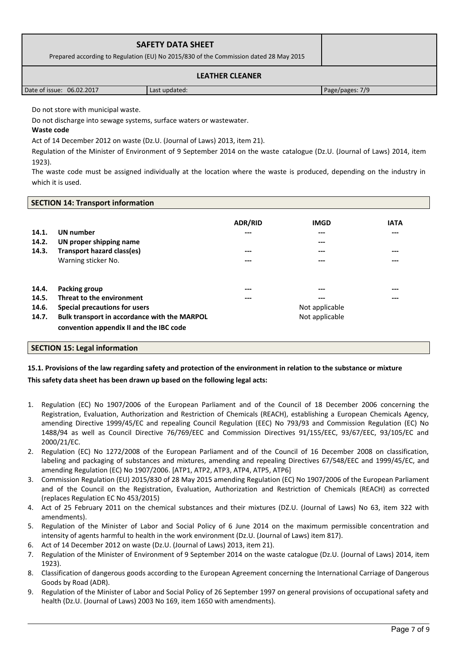| <b>SAFETY DATA SHEET</b><br>Prepared according to Regulation (EU) No 2015/830 of the Commission dated 28 May 2015 |               |                 |
|-------------------------------------------------------------------------------------------------------------------|---------------|-----------------|
| <b>LEATHER CLEANER</b>                                                                                            |               |                 |
| Date of issue: 06.02.2017                                                                                         | Last updated: | Page/pages: 7/9 |

Do not store with municipal waste.

Do not discharge into sewage systems, surface waters or wastewater.

## **Waste code**

Act of 14 December 2012 on waste (Dz.U. (Journal of Laws) 2013, item 21).

Regulation of the Minister of Environment of 9 September 2014 on the waste catalogue (Dz.U. (Journal of Laws) 2014, item 1923).

The waste code must be assigned individually at the location where the waste is produced, depending on the industry in which it is used.

### **SECTION 14: Transport information**

| 14.1.<br>14.2.<br>14.3.          | UN number<br>UN proper shipping name<br><b>Transport hazard class(es)</b><br>Warning sticker No.                            | <b>ADR/RID</b><br>---<br>---<br>--- | <b>IMGD</b><br>---<br>---<br>---<br>---        | <b>IATA</b><br>---<br>---<br>--- |
|----------------------------------|-----------------------------------------------------------------------------------------------------------------------------|-------------------------------------|------------------------------------------------|----------------------------------|
| 14.4.<br>14.5.<br>14.6.<br>14.7. | Packing group<br>Threat to the environment<br>Special precautions for users<br>Bulk transport in accordance with the MARPOL | ---<br>---                          | ---<br>---<br>Not applicable<br>Not applicable | ---<br>---                       |
|                                  | convention appendix II and the IBC code                                                                                     |                                     |                                                |                                  |

## **SECTION 15: Legal information**

# **15.1. Provisions of the law regarding safety and protection of the environment in relation to the substance or mixture This safety data sheet has been drawn up based on the following legal acts:**

- 1. Regulation (EC) No 1907/2006 of the European Parliament and of the Council of 18 December 2006 concerning the Registration, Evaluation, Authorization and Restriction of Chemicals (REACH), establishing a European Chemicals Agency, amending Directive 1999/45/EC and repealing Council Regulation (EEC) No 793/93 and Commission Regulation (EC) No 1488/94 as well as Council Directive 76/769/EEC and Commission Directives 91/155/EEC, 93/67/EEC, 93/105/EC and 2000/21/EC.
- 2. Regulation (EC) No 1272/2008 of the European Parliament and of the Council of 16 December 2008 on classification, labeling and packaging of substances and mixtures, amending and repealing Directives 67/548/EEC and 1999/45/EC, and amending Regulation (EC) No 1907/2006. [ATP1, ATP2, ATP3, ATP4, ATP5, ATP6]
- 3. Commission Regulation (EU) 2015/830 of 28 May 2015 amending Regulation (EC) No 1907/2006 of the European Parliament and of the Council on the Registration, Evaluation, Authorization and Restriction of Chemicals (REACH) as corrected (replaces Regulation EC No 453/2015)
- 4. Act of 25 February 2011 on the chemical substances and their mixtures (DZ.U. (Journal of Laws) No 63, item 322 with amendments).
- 5. Regulation of the Minister of Labor and Social Policy of 6 June 2014 on the maximum permissible concentration and intensity of agents harmful to health in the work environment (Dz.U. (Journal of Laws) item 817).
- 6. Act of 14 December 2012 on waste (Dz.U. (Journal of Laws) 2013, item 21).
- 7. Regulation of the Minister of Environment of 9 September 2014 on the waste catalogue (Dz.U. (Journal of Laws) 2014, item 1923).
- 8. Classification of dangerous goods according to the European Agreement concerning the International Carriage of Dangerous Goods by Road (ADR).
- 9. Regulation of the Minister of Labor and Social Policy of 26 September 1997 on general provisions of occupational safety and health (Dz.U. (Journal of Laws) 2003 No 169, item 1650 with amendments).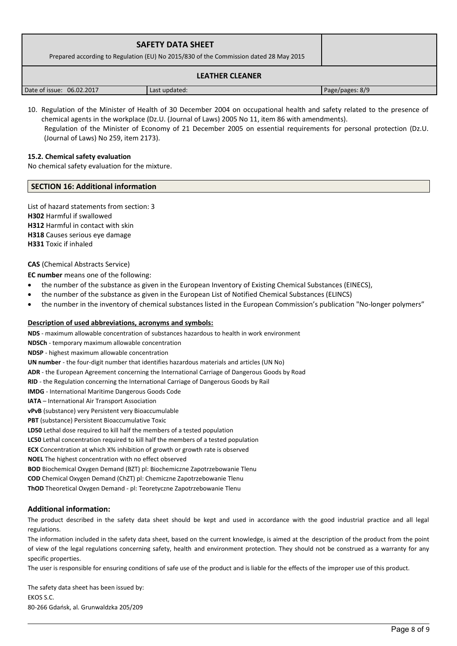| <b>SAFETY DATA SHEET</b><br>Prepared according to Regulation (EU) No 2015/830 of the Commission dated 28 May 2015 |               |                 |
|-------------------------------------------------------------------------------------------------------------------|---------------|-----------------|
| <b>LEATHER CLEANER</b>                                                                                            |               |                 |
| Date of issue: 06.02.2017                                                                                         | Last updated: | Page/pages: 8/9 |

10. Regulation of the Minister of Health of 30 December 2004 on occupational health and safety related to the presence of chemical agents in the workplace (Dz.U. (Journal of Laws) 2005 No 11, item 86 with amendments). Regulation of the Minister of Economy of 21 December 2005 on essential requirements for personal protection (Dz.U. (Journal of Laws) No 259, item 2173).

#### **15.2. Chemical safety evaluation**

No chemical safety evaluation for the mixture.

#### **SECTION 16: Additional information**

List of hazard statements from section: 3 **H302** Harmful if swallowed **H312** Harmful in contact with skin **H318** Causes serious eye damage **H331** Toxic if inhaled

#### **CAS** (Chemical Abstracts Service)

**EC number** means one of the following:

- the number of the substance as given in the European Inventory of Existing Chemical Substances (EINECS),
- the number of the substance as given in the European List of Notified Chemical Substances (ELINCS)
- the number in the inventory of chemical substances listed in the European Commission's publication "No-longer polymers"

#### **Description of used abbreviations, acronyms and symbols:**

**NDS** - maximum allowable concentration of substances hazardous to health in work environment **NDSCh** - temporary maximum allowable concentration **NDSP** - highest maximum allowable concentration **UN number** - the four-digit number that identifies hazardous materials and articles (UN No) **ADR** - the European Agreement concerning the International Carriage of Dangerous Goods by Road **RID** - the Regulation concerning the International Carriage of Dangerous Goods by Rail **IMDG** - International Maritime Dangerous Goods Code **IATA** – International Air Transport Association **vPvB** (substance) very Persistent very Bioaccumulable **PBT** (substance) Persistent Bioaccumulative Toxic **LD50** Lethal dose required to kill half the members of a tested population **LC50** Lethal concentration required to kill half the members of a tested population **ECX** Concentration at which X% inhibition of growth or growth rate is observed **NOEL** The highest concentration with no effect observed **BOD** Biochemical Oxygen Demand (BZT) pl: Biochemiczne Zapotrzebowanie Tlenu **COD** Chemical Oxygen Demand (ChZT) pl: Chemiczne Zapotrzebowanie Tlenu

**ThOD** Theoretical Oxygen Demand - pl: Teoretyczne Zapotrzebowanie Tlenu

### **Additional information:**

The product described in the safety data sheet should be kept and used in accordance with the good industrial practice and all legal regulations.

The information included in the safety data sheet, based on the current knowledge, is aimed at the description of the product from the point of view of the legal regulations concerning safety, health and environment protection. They should not be construed as a warranty for any specific properties.

The user is responsible for ensuring conditions of safe use of the product and is liable for the effects of the improper use of this product.

The safety data sheet has been issued by: EKOS S.C. 80-266 Gdańsk, al. Grunwaldzka 205/209